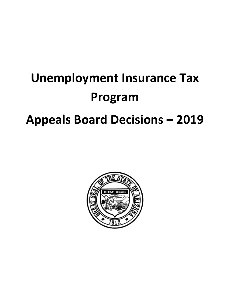# **Unemployment Insurance Tax Program Appeals Board Decisions – 2019**

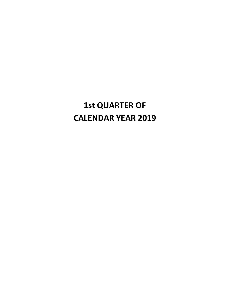# **1st QUARTER OF CALENDAR YEAR 2019**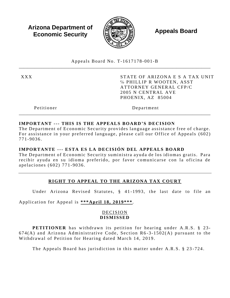**Arizona Department of Economic Security** 



**Appeals Board** 

Appeals Board No. T-1617178-001-B

**XXX** 

STATE OF ARIZONA E S A TAX UNIT % PHILLIP R WOOTEN, ASST ATTORNEY GENERAL CFP/C 2005 N CENTRAL AVE PHOENIX, AZ 85004

Petitioner

Department

# IMPORTANT --- THIS IS THE APPEALS BOARD'S DECISION

The Department of Economic Security provides language assistance free of charge. For assistance in your preferred language, please call our Office of Appeals (602) 771-9036.

#### IMPORTANTE --- ESTA ES LA DECISIÓN DEL APPEALS BOARD

The Department of Economic Security suministra ayuda de los idiomas gratis. Para recibir ayuda en su idioma preferido, por favor comunicarse con la oficina de apelaciones (602) 771-9036.

# RIGHT TO APPEAL TO THE ARIZONA TAX COURT

Under Arizona Revised Statutes, § 41-1993, the last date to file an

Application for Appeal is \*\*\* April 18, 2019 \*\*\*.

#### DECISION **DISMISSED**

**PETITIONER** has withdrawn its petition for hearing under A.R.S. § 23- $674(A)$  and Arizona Administrative Code, Section R6-3-1502(A) pursuant to the Withdrawal of Petition for Hearing dated March 14, 2019.

The Appeals Board has jurisdiction in this matter under A.R.S. § 23-724.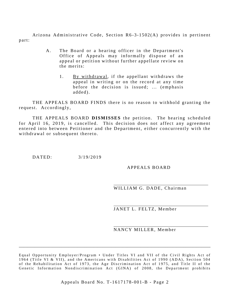Arizona Administrative Code, Section  $R6-3-1502(A)$  provides in pertinent part:

- A. The Board or a hearing officer in the Department's Office of Appeals may informally dispose of an appeal or petition without further appellate review on the merits:
	- 1. By withdrawal, if the appellant withdraws the appeal in writing or on the record at any time before the decision is issued; ... (emphasis added).

THE APPEALS BOARD FINDS there is no reason to withhold granting the request. Accordingly,

THE APPEALS BOARD **DISMISSES** the petition. The hearing scheduled for April 16, 2019, is cancelled. This decision does not affect any agreement entered into between Petitioner and the Department, either concurrently with the withdrawal or subsequent thereto.

DATED:  $3/19/2019$ 

APPEALS BOARD

WILLIAM G. DADE, Chairman

JANET L. FELTZ, Member

NANCY MILLER, Member

\_\_\_\_\_\_\_\_\_\_\_\_\_\_\_\_\_\_\_\_\_\_\_\_\_\_\_\_\_\_\_\_\_\_\_\_\_\_\_\_\_\_\_\_\_\_\_\_\_\_\_\_\_\_\_\_\_\_\_\_\_\_\_\_\_\_\_\_\_\_\_\_\_\_\_\_\_\_\_\_\_\_\_\_\_

Equal Opportunity Employer/Program • Under Titles VI and VII of the Civil Rights Act of 1964 (Title VI & VII), and the Americans with Disabilities Act of 1990 (ADA), Section 504 of the Rehabilitation Act of 1973, the Age Discrimination Act of 1975, and Title II of the Genetic Information Nondiscrimination Act (GINA) of 2008, the Department prohibits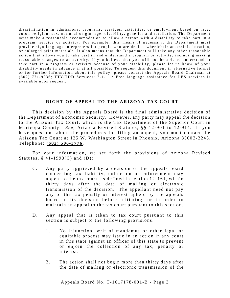discrimination in admissions, programs, services, activities, or employment based on race, color, religion, sex, national origin, age, disability, genetics and retaliation. The Department must make a reasonable accommodation to allow a person with a disability to take part in a program, service or activity. For example, this means if necessary, the Department must provide sign language interpreters for people who are deaf, a wheelchair accessible location, or enlarged print materials. It also means that the Department will take any other reasonable action that allows you to take part in and understand a program or activity, including making reasonable changes to an activity. If you believe that you will not be able to understand or take part in a program or activity because of your disability, please let us know of your disability needs in advance if at all possible. To request this document in alternative format or for further information about this policy, please contact the Appeals Board Chairman at  $(602)$  771-9036; TTY/TDD Services: 7-1-1. • Free language assistance for DES services is available upon request.

#### **RIGHT OF APPEAL TO THE ARIZONA TAX COURT**

\_\_\_\_\_\_\_\_\_\_\_\_\_\_\_\_\_\_\_\_\_\_\_\_\_\_\_\_\_\_\_\_\_\_\_\_\_\_\_\_\_\_\_\_\_\_\_\_\_\_\_\_\_\_\_\_\_\_\_\_\_\_\_\_\_\_\_\_\_\_\_\_\_\_\_\_\_\_\_\_\_\_\_\_\_

This decision by the Appeals Board is the final administrative decision of the Department of Economic Security. However, any party may appeal the decision to the Arizona Tax Court, which is the Tax Department of the Superior Court in Maricopa County. *See*, Arizona Revised Statutes, §§ 12-901 to 12-914. If you have questions about the procedures for filing an appeal, you must contact the Arizona Tax Court at 125 W. Washington Street in Phoenix, Arizona 85003-2243. Te l e phone : **( 602) 506 - 3776**.

For your information, we set forth the provisions of Arizona Revised Statutes,  $§$  41-1993(C) and (D):

- C. Any party aggrieved by a decision of the appeals board concerning tax liability, collection or enforcement may appeal to the tax court, as defined in section  $12-161$ , within thirty days after the date of mailing or electronic transmission of the decision. The appellant need not pay any of the tax penalty or interest upheld by the appeals board in its decision before initiating, or in order to maintain an appeal to the tax court pursuant to this section.
- D. Any appeal that is taken to tax court pursuant to this section is subject to the following provisions:
	- 1. No injunction, writ of mandamus or other legal or equitable process may issue in an action in any court in this state against an officer of this state to prevent or enjoin the collection of any tax, penalty or interest.
	- 2. The action shall not begin more than thirty days after the date of mailing or electronic transmission of the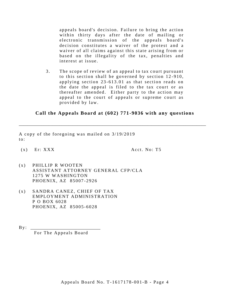appeals board's decision. Failure to bring the action within thirty days after the date of mailing or electronic transmission of the appeals board's decision constitutes a waiver of the protest and a waiver of all claims against this state arising from or based on the illegality of the tax, penalties and interest at issue.

3. The scope of review of an appeal to tax court pursuant to this section shall be governed by section  $12-910$ , applying section  $23-613.01$  as that section reads on the date the appeal is filed to the tax court or as the reafter amended. Either party to the action may appeal to the court of appeals or supreme court as provided by law.

#### **Call the Appeals Board at (60 2) 771-9036 with any questions**

\_\_\_\_\_\_\_\_\_\_\_\_\_\_\_\_\_\_\_\_\_\_\_\_\_\_\_\_\_\_\_\_\_\_\_\_\_\_\_\_\_\_\_\_\_\_\_\_\_\_\_\_\_\_\_\_\_\_\_\_\_\_\_\_\_\_\_\_\_\_\_\_\_\_\_\_\_\_\_\_\_\_\_

A copy of the foregoing was mailed on  $3/19/2019$  $to:$ 

 $(x)$  Er: XXX  $Acct. No: T5$ 

- $(x)$  PHILLIP R WOOTEN ASSISTANT ATTORNEY GENERAL CFP/CLA 1275 W WASHINGTON PHOENIX, AZ 85007-2926
- $(x)$  SANDRA CANEZ, CHIEF OF TAX EMPLOYMENT ADMINISTRATION P O BOX 6028 PHOENIX, AZ 85005-6028
- $By:$ For The Appeals Board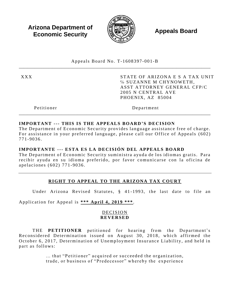**Arizona Department of Economic Security** 



**Appeals Board** 

Appeals Board No. T-1608397-001-B

**XXX** 

STATE OF ARIZONA E S A TAX UNIT % SUZANNE M CHYNOWETH. ASST ATTORNEY GENERAL CFP/C 2005 N CENTRAL AVE PHOENIX, AZ 85004

Petitioner

Department

#### IMPORTANT --- THIS IS THE APPEALS BOARD'S DECISION

The Department of Economic Security provides language assistance free of charge. For assistance in your preferred language, please call our Office of Appeals (602) 771-9036.

#### IMPORTANTE --- ESTA ES LA DECISIÓN DEL APPEALS BOARD

The Department of Economic Security suministra ayuda de los idiomas gratis. Para recibir ayuda en su idioma preferido, por favor comunicarse con la oficina de apelaciones (602) 771-9036.

# RIGHT TO APPEAL TO THE ARIZONA TAX COURT

Under Arizona Revised Statutes, § 41-1993, the last date to file an

Application for Appeal is \*\*\* April 4, 2019 \*\*\*.

#### DECISION **REVERSED**

THE PETITIONER petitioned for hearing from the Department's Reconsidered Determination issued on August 30, 2018, which affirmed the October 6, 2017, Determination of Unemployment Insurance Liability, and held in part as follows:

> ... that "Petitioner" acquired or succeeded the organization, trade, or business of "Predecessor" whereby the experience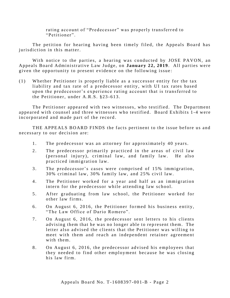rating account of "Predecessor" was properly transferred to "Petitioner".

The petition for hearing having been timely filed, the Appeals Board has juris diction in this matter.

With notice to the parties, a hearing was conducted by JOSE PAVON, an Appeals Board Administrative Law Judge, on January 22, 2019. All parties were given the opportunity to present evidence on the following issue:

 $(1)$  Whe the r Petitioner is properly liable as a successor entity for the tax liability and tax rate of a predecessor entity, with UI tax rates based upon the predecessor's experience rating account that is transferred to the Petitioner, under  $A.R.S. §23-613$ .

The Petitioner appeared with two witnesses, who testified. The Department appeared with counsel and three witnesses who testified. Board Exhibits 1-4 were incorporated and made part of the record.

THE APPEALS BOARD FINDS the facts pertinent to the issue before us and necessary to our decision are:

- 1. The predecessor was an attorney for approximately 40 years.
- 2. The predecessor primarily practiced in the areas of civil law ( personal injury), criminal law, and family law. He also practiced immigration law.
- 3. The predecessor's cases were comprised of 15% immigration,  $30\%$  criminal law,  $30\%$  family law, and  $25\%$  civil law.
- 4. The Petitioner worked for a year and half as an immigration intern for the predecessor while attending law school.
- 5. After graduating from law school, the Petitioner worked for other law firms.
- 6. On August 6, 2016, the Petitioner formed his business entity, "The Law Office of Dario Romero".
- 7. On August 6, 2016, the predecessor sent letters to his clients advising them that he was no longer able to represent them. The letter also advised the clients that the Petitioner was willing to meet with them and reach an independent retainer agreement with them.
- 8. On August 6, 2016, the predecessor advised his employees that they needed to find other employment because he was closing his law firm.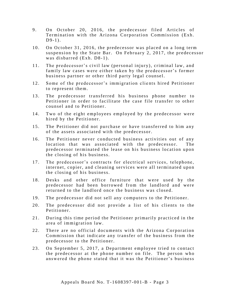- 9. On October 20, 2016, the predecessor filed Articles of Termination with the Arizona Corporation Commission (Exh.  $D9-1$ ).
- 10. On October 31, 2016, the predecessor was placed on a long term suspension by the State Bar. On February 2, 2017, the predecessor was disbarred (Exh. D8-1).
- 11. The predecessor's civil law (personal injury), criminal law, and family law cases were either taken by the predecessor's former business partner or other third party legal counsel.
- 12. Some of the predecessor's immigration clients hired Petitioner to represent them.
- 13. The predecessor transferred his business phone number to Petitioner in order to facilitate the case file transfer to other counsel and to Petitioner.
- 14. Two of the eight employees employed by the predecessor were hired by the Petitioner.
- 15. The Petitioner did not purchase or have transferred to him any of the assets associated with the predecessor.
- 16. The Petitioner never conducted business activities out of any location that was associated with the predecessor. The predecessor terminated the lease on his business location upon the closing of his business.
- 17. The predecessor's contracts for electrical services, telephone, internet, copier, and cleaning services were all terminated upon the closing of his business.
- 18. Desks and other office furniture that were used by the predecessor had been borrowed from the landlord and were returned to the landlord once the business was closed.
- 19. The predecessor did not sell any computers to the Petitioner.
- 20. The predecessor did not provide a list of his clients to the Petitioner.
- 21. During this time period the Petitioner primarily practiced in the area of immigration law.
- 22. There are no official documents with the Arizona Corporation Commission that indicate any transfer of the business from the predecessor to the Petitioner.
- 23. On September 5, 2017, a Department employee tried to contact the predecessor at the phone number on file. The person who answered the phone stated that it was the Petitioner's business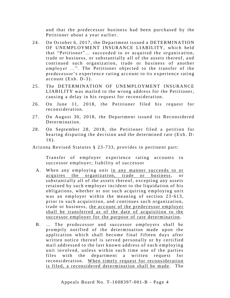and that the predecessor business had been purchased by the Petitioner about a year earlier.

- 24. On October 6, 2017, the Department issued a DETERMINATION OF UNEMPLOYMENT INSURANCE LIABILITY, which held that "Petitioner"... succeeded to or acquired the organization, trade or business, or substantially all of the assets thereof, and continued such organization, trade or business of another employer ...". The Petitioner objected to the transfer of the predecessor's experience rating account to its experience rating  $account$  (Exh.  $D-3$ ).
- 25. The DETERMINATION OF UNEMPLOYMENT INSURANCE LIABILITY was mailed to the wrong address for the Petitioner, causing a delay in his request for reconsideration.
- 26. On June 11, 2018, the Petitioner filed his request for reconsideration.
- 27. On August 30, 2018, the Department issued its Reconsidered Determination.
- 28. On September 28, 2018, the Petitioner filed a petition for hearing disputing the decision and the determined rate (Exh. D- $16$ ).

Arizona Revised Statutes § 23-733, provides in pertinent part:

Transfer of employer experience rating accounts to successor employer; liability of successor

- A. When any employing unit in any manner succeeds to or acquires the organization, trade or business, or substantially all of the assets thereof, excepting any assets retained by such employer incident to the liquidation of his obligations, whether or not such acquiring employing unit was an employer within the meaning of section 23-613, prior to such acquisition, and continues such organization, trade or business, the account of the predecessor employer shall be transferred as of the date of acquisition to the successor employer for the purpose of rate determination.
- B. ... The predecessor and successor employers shall be promptly notified of the determination made upon the application which shall become final fifteen days after written notice thereof is served personally or by certified mail addressed to the last known address of each employing unit involved, unless within such time one of the parties files with the department a written request for reconsideration. When timely request for reconsideration is filed, a reconsidered determination shall be made. The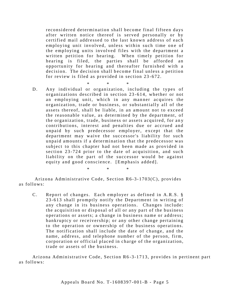reconsidered determination shall become final fifteen days after written notice thereof is served personally or by certified mail addressed to the last known address of each employing unit involved, unless within such time one of the employing units involved files with the department a written petition for hearing. When timely petition for hearing is filed, the parties shall be afforded an opportunity for hearing and thereafter furnished with a decision. The decision shall become final unless a petition for review is filed as provided in section 23-672.

\* \* \* D. Any individual or organization, including the types of organizations described in section 23-614, whether or not an employing unit, which in any manner acquires the organization, trade or business, or substantially all of the assets thereof, shall be liable, in an amount not to exceed the reasonable value, as determined by the department, of the organization, trade, business or assets acquired, for any contributions, interest and penalties due or accrued and unpaid by such predecessor employer, except that the department may waive the successor's liability for such unpaid amounts if a determination that the predecessor was subject to this chapter had not been made as provided in section  $23-724$  prior to the date of acquisition, and such liability on the part of the successor would be against equity and good conscience. [Emphasis added].

\* \* \*

Arizona Administrative Code, Section  $R6-3-1703(C)$ , provides as follows:

C. Report of changes. Each employer as defined in A.R.S. § 23-613 shall promptly notify the Department in writing of any change in its business operations. Changes include: the acquisition or disposal of all or any part of the business operations or assets; a change in business name or address; bankruptcy or receivership; or any other change pertaining to the operation or ownership of the business operations. The notification shall include the date of change, and the name, address, and telephone number of the person, firm, corporation or official placed in charge of the organization, trade or assets of the business.

Arizona Administrative Code, Section R6-3-1713, provides in pertinent part as follows: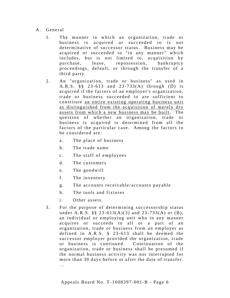- A. General
	- 1. The manner in which an organization, trade or business is acquired or succeeded to is not determinative of successor status. Business may be acquired or succeeded to "in any manner" which includes, but is not limited to, acquisition by pur chase, lease, repossession, bankruptcy proceedings, default, or through the transfer of a third party.
	- 2. An "organization, trade or business" as used in A.R.S. §§ 23-613 and 23-733(A) through (D) is acquired if the factors of an employer's organization, trade or business succeeded to are sufficient to constitute an entire existing operating business unit as distinguished from the acquisition of merely dry assets from which a new business may be built. The question of whether an organization, trade or business is acquired is determined from all the factors of the particular case. Among the factors to be considered are:
		- a. The place of business
		- b. The trade name
		- c. The staff of employees
		- d. The customers
		- e. The goodwill
		- f. The inventory
		- g. The accounts receivable/accounts payable
		- h. The tools and fixtures
		- i. Other assets.
	- 3. For the purpose of determining successorship status under A.R.S. §§ 23-613(A)(3) and 23-733(A) or (B), an individual or employing unit who in any manner acquires or succeeds to all or a part of an organization, trade or business from an employer as defined in A.R.S.  $\S$  23-613 shall be deemed the successor employer provided the organization, trade or business is continued. Continuation of the organization, trade or business shall be presumed if the normal business activity was not interrupted for more than 30 days before or after the date of transfer.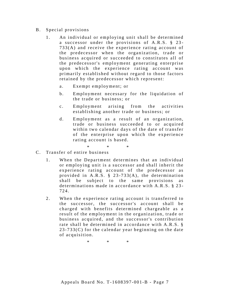#### B. Special provisions

- 1. An individual or employing unit shall be determined a successor under the provisions of  $A.R.S. \$ § 23- $733(A)$  and receive the experience rating account of the predecessor when the organization, trade or business acquired or succeeded to constitutes all of the predecessor's employment generating enterprise upon which the experience rating account was primarily established without regard to those factors retained by the predecessor which represent:
	- a. Exempt employment; or
	- b. Employment necessary for the liquidation of the trade or business; or
	- c. Employment arising from the activities establishing another trade or business; or
	- d. Employment as a result of an organization, trade or business succeeded to or acquired within two calendar days of the date of transfer of the enterprise upon which the experience rating account is based.
		- \* \* \*
- C. Transfer of entire business
	- 1. When the Department determines that an individual or employing unit is a successor and shall inherit the experience rating account of the predecessor as provided in A.R.S.  $\S$  23-733(A), the determination shall be subject to the same provisions as determinations made in accordance with  $A.R.S. \S 23$ -724.
	- 2. When the experience rating account is transferred to the successor, the successor's account shall be charged with benefits determined chargeable as a result of the employment in the organization, trade or business acquired, and the successor's contribution rate shall be determined in accordance with  $A.R.S.$  §  $23 - 733(C)$  for the calendar year beginning on the date of acquisition.

\* \* \*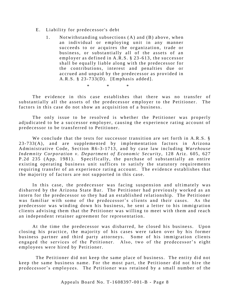- E. Liability for predecessor's debt
	- 1. Not with standing subsections (A) and (B) above, when an individual or employing unit in any manner succeeds to or acquires the organization, trade or business, or substantially all of the assets of an employer as defined in  $A.R.S. \$  23-613, the successor shall be equally liable along with the predecessor for the contributions, interest and penalties due or accrued and unpaid by the predecessor as provided in A.R.S.  $\S$  23-733(D). [Emphasis added].

\* \* \*

The evidence in this case establishes that there was no transfer of substantially all the assets of the predecessor employer to the Petitioner. The factors in this case do not show an acquisition of a business.

The only issue to be resolved is whether the Petitioner was properly adjudicated to be a successor employer, causing the experience rating account of predecessor to be transferred to Petitioner.

We conclude that the tests for successor transition are set forth in  $A.R.S.$  §  $23-733(A)$ , and are supplemented by implementation factors in Arizona Administrative Code, Section R6-3-1713, and by case law including *Warehouse Indemnity Corporation v. Department of Economic Security, 128 Ariz. 605, 627* P.2d 235 (App. 1981). Specifically, the purchase of substantially an entire existing operating business unit suffices to satisfy the statutory requirements requiring transfer of an experience rating account. The evidence establishes that the majority of factors are not supported in this case.

In this case, the predecessor was facing suspension and ultimately was disbarred by the Arizona State Bar. The Petitioner had previously worked as an intern for the predecessor so they had an established relationship. The Petitioner was familiar with some of the predecessor's clients and their cases. As the predecessor was winding down his business, he sent a letter to his immigration clients advising them that the Petitioner was willing to meet with them and reach an independent retainer agreement for representation.

At the time the predecessor was disbarred, he closed his business. Upon closing his practice, the majority of his cases were taken over by his former business partner and third party attorneys. Some of his immigration clients engaged the services of the Petitioner. Also, two of the predecessor's eight employees were hired by Petitioner.

The Petitioner did not keep the same place of business. The entity did not keep the same business name. For the most part, the Petitioner did not hire the predecessor's employees. The Petitioner was retained by a small number of the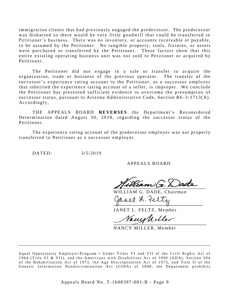immigration clients that had previously engaged the predecessor. The predecessor was disbarred so there would be very little goodwill that could be transferred to Petitioner's business. There was no inventory, or accounts receivable or payable, to be assumed by the Petitioner. No tangible property, tools, fixtures, or assets were purchased or transferred by the Petitioner. These factors show that this entire existing operating business unit was not sold to Petitioner or acquired by Petitioner.

The Petitioner did not engage in a sale or transfer to acquire the organization, trade or business of the previous operator. The transfer of the successor's experience rating account to the Petitioner, as a successor employer that inherited the experience rating account of a seller, is improper. We conclude the Petitioner has presented sufficient evidence to overcome the presumption of successor status, pursuant to Arizona Administrative Code, Section R6-3-1713(A). Accordingly,

THE APPEALS BOARD **REVERSES** the Department's Reconsidered Determination dated August 30, 2018, regarding the successor status of the Petitioner.

The experience rating account of the predecessor employer was not properly transferred to Petitioner as a successor employer.

DATED:  $3/5/2019$ 

APPEALS BOARD

WILLIAM G. DADE, Chairman

JANET L. FELTZ, Member

Vanishiller

NANCY MILLER, Member

\_\_\_\_\_\_\_\_\_\_\_\_\_\_\_\_\_\_\_\_\_\_\_\_\_\_\_\_\_\_\_\_\_\_\_\_\_\_\_\_\_\_\_\_\_\_\_\_\_\_\_\_\_\_\_\_\_\_\_\_\_\_\_\_\_\_\_\_\_\_\_\_\_\_\_\_\_\_\_\_\_\_\_\_\_

Equal Opportunity Employer/Program • Under Titles VI and VII of the Civil Rights Act of 1964 (Title VI & VII), and the Americans with Disabilities Act of 1990 (ADA), Section 504 of the Rehabilitation Act of 1973, the Age Discrimination Act of 1975, and Title II of the Genetic Information Nondiscrimination Act (GINA) of 2008, the Department prohibits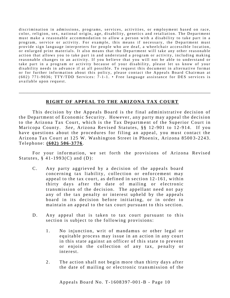discrimination in admissions, programs, services, activities, or employment based on race, color, religion, sex, national origin, age, disability, genetics and retaliation. The Department must make a reasonable accommodation to allow a person with a disability to take part in a program, service or activity. For example, this means if necessary, the Department must provide sign language interpreters for people who are deaf, a wheelchair accessible location, or enlarged print materials. It also means that the Department will take any other reasonable action that allows you to take part in and understand a program or activity, including making reasonable changes to an activity. If you believe that you will not be able to understand or take part in a program or activity because of your disability, please let us know of your disability needs in advance if at all possible. To request this document in alternative format or for further information about this policy, please contact the Appeals Board Chairman at  $(602)$  771-9036; TTY/TDD Services: 7-1-1. • Free language assistance for DES services is available upon request.

#### **RIGHT OF APPEAL TO THE ARIZONA TAX COURT**

\_\_\_\_\_\_\_\_\_\_\_\_\_\_\_\_\_\_\_\_\_\_\_\_\_\_\_\_\_\_\_\_\_\_\_\_\_\_\_\_\_\_\_\_\_\_\_\_\_\_\_\_\_\_\_\_\_\_\_\_\_\_\_\_\_\_\_\_\_\_\_\_\_\_\_\_\_\_\_\_\_\_\_\_\_

This decision by the Appeals Board is the final administrative decision of the Department of Economic Security. However, any party may appeal the decision to the Arizona Tax Court, which is the Tax Department of the Superior Court in Maricopa County. *See*, Arizona Revised Statutes, §§ 12-901 to 12-914. If you have questions about the procedures for filing an appeal, you must contact the Arizona Tax Court at 125 W. Washington Street in Phoenix, Arizona 85003-2243. Te l e phone : **( 602) 506 - 3776**.

For your information, we set forth the provisions of Arizona Revised Statutes,  $§$  41-1993(C) and (D):

- C. Any party aggrieved by a decision of the appeals board concerning tax liability, collection or enforcement may appeal to the tax court, as defined in section  $12-161$ , within thirty days after the date of mailing or electronic transmission of the decision. The appellant need not pay any of the tax penalty or interest upheld by the appeals board in its decision before initiating, or in order to maintain an appeal to the tax court pursuant to this section.
- D. Any appeal that is taken to tax court pursuant to this section is subject to the following provisions:
	- 1. No injunction, writ of mandamus or other legal or equitable process may issue in an action in any court in this state against an officer of this state to prevent or enjoin the collection of any tax, penalty or interest.
	- 2. The action shall not begin more than thirty days after the date of mailing or electronic transmission of the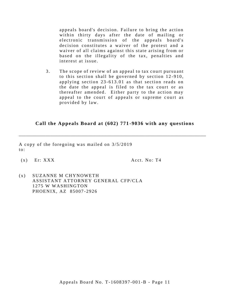appeals board's decision. Failure to bring the action within thirty days after the date of mailing or electronic transmission of the appeals board's decision constitutes a waiver of the protest and a waiver of all claims against this state arising from or based on the illegality of the tax, penalties and interest at issue.

3. The scope of review of an appeal to tax court pursuant to this section shall be governed by section  $12-910$ , applying section  $23-613.01$  as that section reads on the date the appeal is filed to the tax court or as the reafter amended. Either party to the action may appeal to the court of appeals or supreme court as provided by law.

#### **Call the Appeals Board at (602) 771 -9036 with any questions**

\_\_\_\_\_\_\_\_\_\_\_\_\_\_\_\_\_\_\_\_\_\_\_\_\_\_\_\_\_\_\_\_\_\_\_\_\_\_\_\_\_\_\_\_\_\_\_\_\_\_\_\_\_\_\_\_\_\_\_\_\_\_\_\_\_\_\_\_\_\_\_\_\_\_\_\_\_\_\_\_\_\_\_

A copy of the foregoing was mailed on  $3/5/2019$  $to:$ 

 $(x)$  Er: XXX  $\overline{X}$  Acct. No: T4

 $(x)$  SUZANNE M CHYNOWETH ASSISTANT ATTORNEY GENERAL CFP/CLA 1275 W WASHINGTON PHOENIX, AZ 85007-2926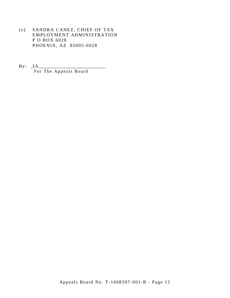- (x) SANDRA CANEZ, CHIEF OF TAX EMPLOYMENT ADMINISTRATION P O BOX 6028 PHOENIX, AZ 85005-6028
- $By: LS$ For The Appeals Board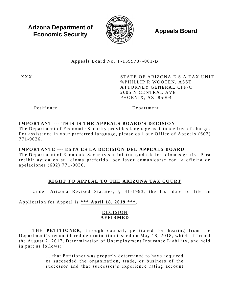**Arizona Department of Economic Security** 



**Appeals Board** 

Appeals Board No. T-1599737-001-B

**XXX** 

STATE OF ARIZONA E S A TAX UNIT %PHILLIP R WOOTEN, ASST **ATTORNEY GENERAL CFP/C** 2005 N CENTRAL AVE PHOENIX, AZ 85004

Petitioner

Department

#### IMPORTANT --- THIS IS THE APPEALS BOARD'S DECISION

The Department of Economic Security provides language assistance free of charge. For assistance in your preferred language, please call our Office of Appeals (602) 771-9036.

#### IMPORTANTE --- ESTA ES LA DECISIÓN DEL APPEALS BOARD

The Department of Economic Security suministra ayuda de los idiomas gratis. Para recibir ayuda en su idioma preferido, por favor comunicarse con la oficina de apelaciones (602) 771-9036.

# RIGHT TO APPEAL TO THE ARIZONA TAX COURT

Under Arizona Revised Statutes, § 41-1993, the last date to file an

Application for Appeal is \*\*\* April 18, 2019 \*\*\*.

#### DECISION **AFFIRMED**

THE PETITIONER, through counsel, petitioned for hearing from the Department's reconsidered determination issued on May 18, 2018, which affirmed the August 2, 2017, Determination of Unemployment Insurance Liability, and held in part as follows:

> ... that Petitioner was properly determined to have acquired or succeeded the organization, trade, or business of the successor and that successor's experience rating account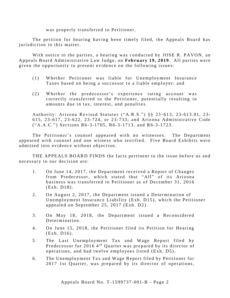was properly transferred to Petitioner.

The petition for hearing having been timely filed, the Appeals Board has juris diction in this matter.

With notice to the parties, a hearing was conducted by JOSE R. PAVON, an Appeals Board Administrative Law Judge, on February 19, 2019. All parties were given the opportunity to present evidence on the following issues:

- (1) Whether Petitioner was liable for Unemployment Insurance Taxes based on being a successor to a liable employer; and
- $(2)$  Whether the predecessor's experience rating account was correctly transferred to the Petitioner, potentially resulting in amounts due in tax, interest, and penalties.

Authority: Arizona Revised Statutes ("A.R.S.") §§ 23-613, 23-613.01, 23-615, 23-617, 23-622, 23-724, or 23-733; and Arizona Administrative Code ("A.A.C.") Sections R6-3-1705, R6-3-1713, and R6-3-1723.

The Petitioner's counsel appeared with no witnesses. The Department appeared with counsel and one witness who testified. Five Board Exhibits were admitted into evidence without objection.

THE APPEALS BOARD FINDS the facts pertinent to the issue before us and necessary to our decision are:

- 1. On June 14, 2017, the Department received a Report of Changes from Predecessor, which stated that "All" of its Arizona business was transferred to Petitioner as of December 31, 2016 ( Exh. D18) .
- 2. On August 2, 2017, the Department issued a Determination of Unemployment Insurance Liability (Exh. D15), which the Petitioner appealed on September 25, 2017 (Exh. D2).
- 3. On May 18, 2018, the Department issued a Reconsidered Determination.
- 4. On June 15, 2018, the Petitioner filed its Petition for Hearing  $(Exh. D16)$ .
- 5. The Last Unemployment Tax and Wage Report filed by Predecessor for 2016 4<sup>th</sup> Quarter was prepared by its director of operations, and had twelve employees listed (Exh. D5).
- 6. The Unemployment Tax and Wage Report filed by Petitioner for 2017 1st Quarter, was prepared by its director of operations,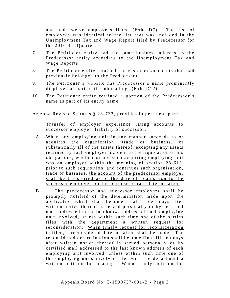and had twelve employees listed (Exh. D7). The list of employees was identical to the list that was included in the Unemployment Tax and Wage Report filed by Predecessor for the 2016 4th Quarter.

- 7. The Petitioner entity had the same business address as the Predecessor entity according to the Unemployment Tax and Wage Reports.
- 8. The Petitioner entity retained the customers/accounts that had previously belonged to the Predecessor.
- 9. The Petitioner's website has Predecessor's name prominently displayed as part of its subheadings (Exh. D12).
- 10. The Petitioner entity retained a portion of the Predecessor's name as part of its entity name.

Arizona Revised Statutes § 23-733, provides in pertinent part:

Transfer of employer experience rating accounts to successor employer; liability of successor.

- A. When any employing unit in any manner succeeds to or acquires the organization, trade or business, or substantially all of the assets thereof, excepting any assets retained by such employer incident to the liquidation of his obligations, whether or not such acquiring employing unit was an employer within the meaning of section 23-613, prior to such acquisition, and continues such organization, trade or business, the account of the predecessor employer shall be transferred as of the date of acquisition to the successor employer for the purpose of rate determination.
- B. ... The predecessor and successor employers shall be promptly notified of the determination made upon the application which shall become final fifteen days after written notice there of is served personally or by certified mail addressed to the last known address of each employing unit involved, unless within such time one of the parties files with the department a written request for reconsideration. When timely request for reconsideration is filed, a reconsidered determination shall be made. The reconsidered determination shall become final fifteen days after written notice thereof is served personally or by certified mail addressed to the last known address of each employing unit involved, unless within such time one of the employing units involved files with the department a written petition for hearing. When timely petition for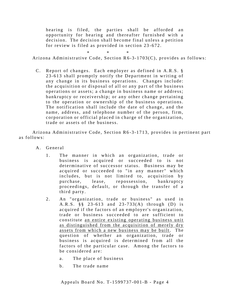hearing is filed, the parties shall be afforded an opportunity for hearing and thereafter furnished with a decision. The decision shall become final unless a petition for review is filed as provided in section 23-672.

\* \* \*

Arizona Administrative Code, Section  $R6-3-1703(C)$ , provides as follows:

C. Report of changes. Each employer as defined in A.R.S. § 23-613 shall promptly notify the Department in writing of any change in its business operations. Changes include: the acquisition or disposal of all or any part of the business operations or assets; a change in business name or address; bankruptcy or receivership; or any other change pertaining to the operation or ownership of the business operations. The notification shall include the date of change, and the name, address, and telephone number of the person, firm, corporation or official placed in charge of the organization, trade or assets of the business.

Arizona Administrative Code, Section R6-3-1713, provides in pertinent part as follows:

- A. General
	- 1. The manner in which an organization, trade or business is acquired or succeeded to is not determinative of successor status. Business may be acquired or succeeded to "in any manner" which includes, but is not limited to, acquisition by pur chase, lease, repossession, bankruptcy proceedings, default, or through the transfer of a third party.
	- 2. An "organization, trade or business" as used in A.R.S. §§ 23-613 and 23-733(A) through (D) is acquired if the factors of an employer's organization, trade or business succeeded to are sufficient to constitute an entire existing operating business unit as distinguished from the acquisition of merely dry assets from which a new business may be built. The question of whether an organization, trade or business is acquired is determined from all the factors of the particular case. Among the factors to be considered are:
		- a. The place of business
		- b. The trade name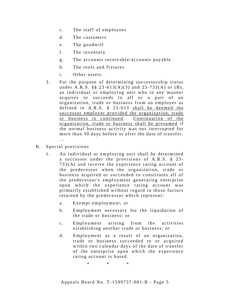- c. The staff of employees
- d. The customers
- e. The goodwill
- f. The inventory
- g. The accounts receivable/accounts payable
- h. The tools and fixtures
- i. Other assets.
- 3. For the purpose of determining successorship status under A.R.S. §§ 23-613(A)(3) and  $23-733(A)$  or (B), an individual or employing unit who in any manner acquires or succeeds to all or a part of an organization, trade or business from an employer as defined in  $A.R.S. \S 23-613$  shall be deemed the successor employer provided the organization, trade or business is continued. Continuation of the organization, trade or business shall be presumed if the normal business activity was not interrupted for more than 30 days before or after the date of transfer. …
- B. Special provisions
	- 1. An individual or employing unit shall be determined a successor under the provisions of A.R.S.  $\S$  23- $733(A)$  and receive the experience rating account of the predecessor when the organization, trade or business acquired or succeeded to constitutes all of the predecessor's employment generating enterprise upon which the experience rating account was primarily established without regard to those factors retained by the predecessor which represent:
		- a. Exempt employment; or
		- b. Employment necessary for the liquidation of the trade or business: or
		- c. Employment arising from the activities establishing another trade or business; or
		- d. Employment as a result of an organization, trade or business succeeded to or acquired within two calendar days of the date of transfer of the enterprise upon which the experience rating account is based.

\* \* \*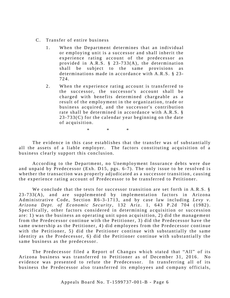- C. Transfer of entire business
	- 1. When the Department determines that an individual or employing unit is a successor and shall inherit the experience rating account of the predecessor as provided in A.R.S.  $\S$  23-733(A), the determination shall be subject to the same provisions as determinations made in accordance with A.R.S.  $\S$  23-724.
	- 2. When the experience rating account is transferred to the successor, the successor's account shall be charged with benefits determined chargeable as a result of the employment in the organization, trade or business acquired, and the successor's contribution rate shall be determined in accordance with A.R.S. §  $23 - 733(C)$  for the calendar year beginning on the date of acquisition.

\* \* \*

The evidence in this case establishes that the transfer was of substantially all the assets of a liable employer. The factors constituting acquisition of a business clearly support this conclusion.

According to the Department, no Unemployment Insurance debts were due and unpaid by Predecessor (Exh. D15, pgs. 6-7). The only issue to be resolved is whe the transaction was properly adjudicated as a successor transition, causing the experience rating account of Predecessor to be transferred to Petitioner.

We conclude that the tests for successor transition are set forth in  $A.R.S. \$ §  $23-733(A)$ , and are supplemented by implementation factors in Arizona Administrative Code, Section R6-3-1713, and by case law including Levy v. *Arizona Dept. of Economic Security, 132 Ariz. 1, 643 P.2d 704 (1982).* Specifically, other factors considered in determining acquisition or succession are: 1) was the business an operating unit upon acquisition, 2) did the management from the Predecessor continue with the Petitioner, 3) did the Predecessor have the same ownership as the Petitioner, 4) did employees from the Predecessor continue with the Petitioner, 5) did the Petitioner continue with substantially the same identity as the Predecessor, 6) did the Petitioner continue with substantially the same business as the predecessor.

The Predecessor filed a Report of Changes which stated that "All" of its Arizona business was transferred to Petitioner as of December 31, 2016. No evidence was presented to refute the Predecessor. In transferring all of its business the Predecessor also transferred its employees and company officials,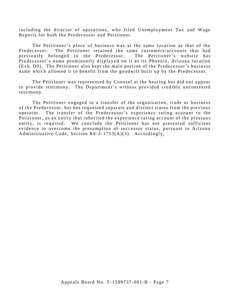including the director of operations, who filed Unemployment Tax and Wage Reports for both the Predecessor and Petitioner.

The Petitioner's place of business was at the same location as that of the Predecessor. The Petitioner retained the same customers/accounts that had previously belonged to the Predecessor. The Petitioner's website has Predecessor's name prominently displayed on it as its Phoenix, Arizona location (Exh. D9). The Petitioner also kept the main portion of the Predecessor's business name which allowed it to benefit from the goodwill built up by the Predecessor.

The Petitioner was represented by Counsel at the hearing but did not appear to provide testimony. The Department's witness provided credible uncontested testimony.

The Petitioner engaged in a transfer of the organization, trade or business of the Predecessor, but has requested separate and distinct status from the previous operator. The transfer of the Predecessor's experience rating account to the Petitioner, as an entity that inherited the experience rating account of the previous entity, is required. We conclude the Petitioner has not presented sufficient evidence to overcome the presumption of successor status, pursuant to Arizona Administrative Code, Section R6-3-1713(A)(3). Accordingly,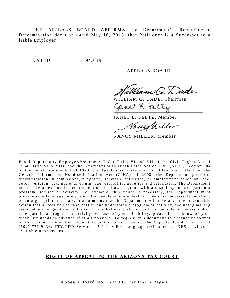THE APPEALS BOARD AFFIRMS the Department's Reconsidered Determination decision dated May 18, 2018, that Petitioner is a Successor to a liable Employer.

DATED:  $3/19/2019$ 

APPEALS BOARD

WILLIAM G. DADE, Chairman alt L. te

JANET L. FELTZ, Member

rmvl N

NANCY MILLER, Member

Equal Opportunity Employer/Program • Under Titles VI and VII of the Civil Rights Act of 1964 (Title VI & VII), and the Americans with Disabilities Act of 1990 (ADA), Section 504 of the Rehabilitation Act of 1973, the Age Discrimination Act of 1975, and Title II of the Genetic Information Nondiscrimination Act (GINA) of 2008, the Department prohibits discrimination in admissions, programs, services, activities, or employment based on race, color, religion, sex, national origin, age, disability, genetics and retaliation. The Department must make a reasonable accommodation to allow a person with a disability to take part in a program, service or activity. For example, this means if necessary, the Department must provide sign language interpreters for people who are deaf, a wheelchair accessible location, or enlarged print materials. It also means that the Department will take any other reasonable action that allows you to take part in and understand a program or activity, including making reasonable changes to an activity. If you believe that you will not be able to understand or take part in a program or activity because of your disability, please let us know of your disability needs in advance if at all possible. To request this document in alternative format or for further information about this policy, please contact the Appeals Board Chairman at (602) 771-9036; TTY/TDD Services:  $7-1-1$ . • Free language assistance for DES services is available upon request.

\_\_\_\_\_\_\_\_\_\_\_\_\_\_\_\_\_\_\_\_\_\_\_\_\_\_\_\_\_\_\_\_\_\_\_\_\_\_\_\_\_\_\_\_\_\_\_\_\_\_\_\_\_\_\_\_\_\_\_\_\_\_\_\_\_\_\_\_\_\_\_\_\_\_\_\_\_\_\_\_\_\_\_\_\_

#### **RIGHT OF APPEAL TO THE ARIZONA TAX COURT**

\_\_\_\_\_\_\_\_\_\_\_\_\_\_\_\_\_\_\_\_\_\_\_\_\_\_\_\_\_\_\_\_\_\_\_\_\_\_\_\_\_\_\_\_\_\_\_\_\_\_\_\_\_\_\_\_\_\_\_\_\_\_\_\_\_\_\_\_\_\_\_\_\_\_\_\_\_\_\_\_\_\_\_\_\_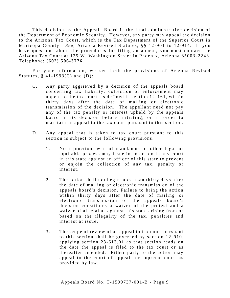This decision by the Appeals Board is the final administrative decision of the Department of Economic Security. However, any party may appeal the decision to the Arizona Tax Court, which is the Tax Department of the Superior Court in Maricopa County. *See*, Arizona Revised Statutes, §§ 12-901 to 12-914. If you have questions about the procedures for filing an appeal, you must contact the Arizona Tax Court at 125 W. Washington Street in Phoenix, Arizona 85003-2243. Te l e phone : **( 602) 506 - 3776**.

For your information, we set forth the provisions of Arizona Revised Statutes,  $\S$  41-1993(C) and (D):

- C. Any party aggrieved by a decision of the appeals board concerning tax liability, collection or enforcement may appeal to the tax court, as defined in section  $12-161$ , within thirty days after the date of mailing or electronic transmission of the decision. The appellant need not pay any of the tax penalty or interest upheld by the appeals board in its decision before initiating, or in order to maintain an appeal to the tax court pursuant to this section.
- D. Any appeal that is taken to tax court pursuant to this section is subject to the following provisions:
	- 1. No injunction, writ of mandamus or other legal or equitable process may issue in an action in any court in this state against an officer of this state to prevent or enjoin the collection of any tax, penalty or interest.
	- 2. The action shall not begin more than thirty days after the date of mailing or electronic transmission of the appeals board's decision. Failure to bring the action within thirty days after the date of mailing or electronic transmission of the appeals board's decision constitutes a waiver of the protest and a waiver of all claims against this state arising from or based on the illegality of the tax, penalties and interest at issue.
	- 3. The scope of review of an appeal to tax court pursuant to this section shall be governed by section  $12-910$ , applying section 23-613.01 as that section reads on the date the appeal is filed to the tax court or as thereafter amended. Either party to the action may appeal to the court of appeals or supreme court as provided by law.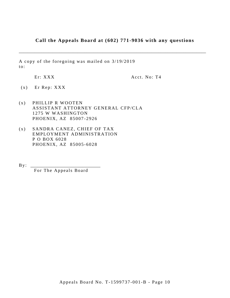# Call the Appeals Board at (602) 771-9036 with any questions

A copy of the foregoing was mailed on 3/19/2019  $\mathrm{to}$ :

Er: XXX

Acct. No: T4

- $(x)$  Er Rep: XXX
- PHILLIP R WOOTEN  $(x)$ ASSISTANT ATTORNEY GENERAL CFP/CLA 1275 W WASHINGTON PHOENIX, AZ 85007-2926
- SANDRA CANEZ, CHIEF OF TAX  $(x)$ EMPLOYMENT ADMINISTRATION P O BOX 6028 PHOENIX, AZ 85005-6028

 $By:$ 

For The Appeals Board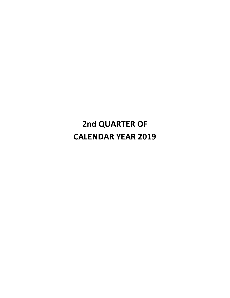# **2nd QUARTER OF CALENDAR YEAR 2019**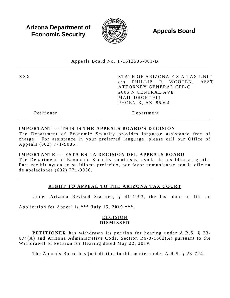**Arizona Department of Economic Security** 



**Appeals Board** 

Appeals Board No. T-1612535-001-B

**XXX** 

STATE OF ARIZONA E S A TAX UNIT  $c/\alpha$ PHILLIP R WOOTEN. ASST ATTORNEY GENERAL CFP/C 2005 N CENTRAL AVE MAIL DROP 1911 PHOENIX, AZ 85004

Petitioner

Department

#### **IMPORTANT --- THIS IS THE APPEALS BOARD'S DECISION**

The Department of Economic Security provides language assistance free of charge. For assistance in your preferred language, please call our Office of Appeals (602) 771-9036.

#### IMPORTANTE --- ESTA ES LA DECISIÓN DEL APPEALS BOARD

The Department of Economic Security suministra avuda de los idiomas gratis. Para recibir ayuda en su idioma preferido, por favor comunicarse con la oficina de apelaciones (602) 771-9036.

# RIGHT TO APPEAL TO THE ARIZONA TAX COURT

Under Arizona Revised Statutes, § 41-1993, the last date to file an

Application for Appeal is \*\*\* July 15, 2019 \*\*\*.

#### **DECISION DISMISSED**

**PETITIONER** has withdrawn its petition for hearing under A.R.S. § 23- $674(A)$  and Arizona Administrative Code, Section R6-3-1502(A) pursuant to the Withdrawal of Petition for Hearing dated May 22, 2019.

The Appeals Board has jurisdiction in this matter under A.R.S. § 23-724.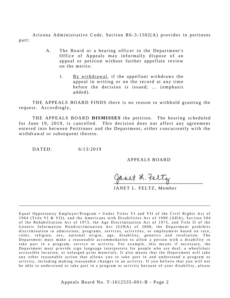Arizona Administrative Code, Section  $R6-3-1502(A)$  provides in pertinent part:

- A. The Board or a hearing officer in the Department's Office of Appeals may informally dispose of an appeal or petition without further appellate review on the merits:
	- 1. By withdrawal, if the appellant withdraws the appeal in writing or on the record at any time before the decision is issued; ... (emphasis  $added$ ).

THE APPEALS BOARD FINDS there is no reason to withhold granting the request. Accordingly,

THE APPEALS BOARD **DISMISSES** the petition. The hearing scheduled for June 19, 2019, is cancelled. This decision does not affect any agreement entered into between Petitioner and the Department, either concurrently with the withdrawal or subsequent thereto.

DATED:  $6/13/2019$ 

APPEALS BOARD

Janet L. Feltz

JANET L. FELTZ, Member

Equal Opportunity Employer/Program • Under Titles VI and VII of the Civil Rights Act of 1964 (Title VI & VII), and the Americans with Disabilities Act of 1990 (ADA), Section 504 of the Rehabilitation Act of 1973, the Age Discrimination Act of 1975, and Title II of the Genetic Information Nondiscrimination Act (GINA) of 2008, the Department prohibits discrimination in admissions, programs, services, activities, or employment based on race, color, religion, sex, national origin, age, disability, genetics and retaliation. The Department must make a reasonable accommodation to allow a person with a disability to take part in a program, service or activity. For example, this means if necessary, the Department must provide sign language interpreters for people who are deaf, a wheelchair accessible location, or enlarged print materials. It also means that the Department will take any other reasonable action that allows you to take part in and understand a program or activity, including making reasonable changes to an activity. If you believe that you will not be able to understand or take part in a program or activity because of your disability, please

\_\_\_\_\_\_\_\_\_\_\_\_\_\_\_\_\_\_\_\_\_\_\_\_\_\_\_\_\_\_\_\_\_\_\_\_\_\_\_\_\_\_\_\_\_\_\_\_\_\_\_\_\_\_\_\_\_\_\_\_\_\_\_\_\_\_\_\_\_\_\_\_\_\_\_\_\_\_\_\_\_\_\_\_\_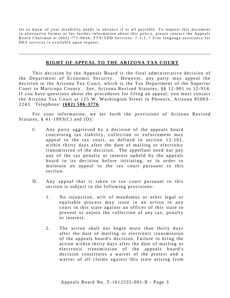let us know of your disability needs in advance if at all possible. To request this document in alternative format or for further information about this policy, please contact the Appeals Board Chairman at  $(602)$  771-9036; TTY/TDD Services: 7-1-1. • Free language assistance for DES services is available upon request.

\_\_\_\_\_\_\_\_\_\_\_\_\_\_\_\_\_\_\_\_\_\_\_\_\_\_\_\_\_\_\_\_\_\_\_\_\_\_\_\_\_\_\_\_\_\_\_\_\_\_\_\_\_\_\_\_\_\_\_\_\_\_\_\_\_\_\_\_\_\_\_\_\_\_\_\_\_\_\_\_\_\_\_\_\_

#### **RIGHT OF APPEAL TO THE ARIZONA TAX COURT**

This decision by the Appeals Board is the final administrative decision of the Department of Economic Security. However, any party may appeal the decision to the Arizona Tax Court, which is the Tax Department of the Superior Court in Maricopa County. *See*, Arizona Revised Statutes, §§ 12-901 to 12-914. If you have questions about the procedures for filing an appeal, you must contact the Arizona Tax Court at 125 W. Washington Street in Phoenix, Arizona 85003-2 2 43 . T el e ph on e: **(6 0 2) 5 06 - 37 76** .

For your information, we set forth the provisions of Arizona Revised Statutes,  $\S$  41-1993(C) and (D):

- C. Any party aggrieved by a decision of the appeals board concerning tax liability, collection or enforcement may appeal to the tax court, as defined in section  $12-161$ , within thirty days after the date of mailing or electronic transmission of the decision. The appellant need not pay any of the tax penalty or interest upheld by the appeals board in its decision before initiating, or in order to maintain an appeal to the tax court pursuant to this s e ction.
- D. Any appeal that is taken to tax court pursuant to this section is subject to the following provisions:
	- 1. No injunction, writ of mandamus or other legal or equitable process may issue in an action in any court in this state against an officer of this state to prevent or enjoin the collection of any tax, penalty or interest.
	- 2. The action shall not begin more than thirty days after the date of mailing or electronic transmission of the appeals board's decision. Failure to bring the action within thirty days after the date of mailing or electronic transmission of the appeals board's decision constitutes a waiver of the protest and a waiver of all claims against this state arising from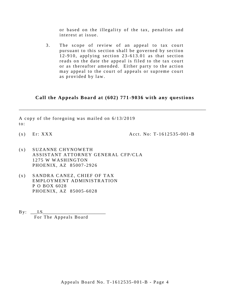or based on the illegality of the tax, penalties and interest at issue.

 $3.$ The scope of review of an appeal to tax court pursuant to this section shall be governed by section 12-910, applying section 23-613.01 as that section reads on the date the appeal is filed to the tax court or as thereafter amended. Either party to the action may appeal to the court of appeals or supreme court as provided by law.

#### Call the Appeals Board at (602) 771-9036 with any questions

A copy of the foregoing was mailed on  $6/13/2019$  $\mathfrak{to}$ :

 $(x)$  Er: XXX

Acct. No:  $T-1612535-001-B$ 

- SUZANNE CHYNOWETH  $(x)$ ASSISTANT ATTORNEY GENERAL CFP/CLA 1275 W WASHINGTON PHOENIX, AZ 85007-2926
- $(x)$ SANDRA CANEZ, CHIEF OF TAX EMPLOYMENT ADMINISTRATION P O BOX 6028 PHOENIX, AZ 85005-6028
- $\mathbf{By:} \quad \_ \mathbf{LS}$ For The Appeals Board